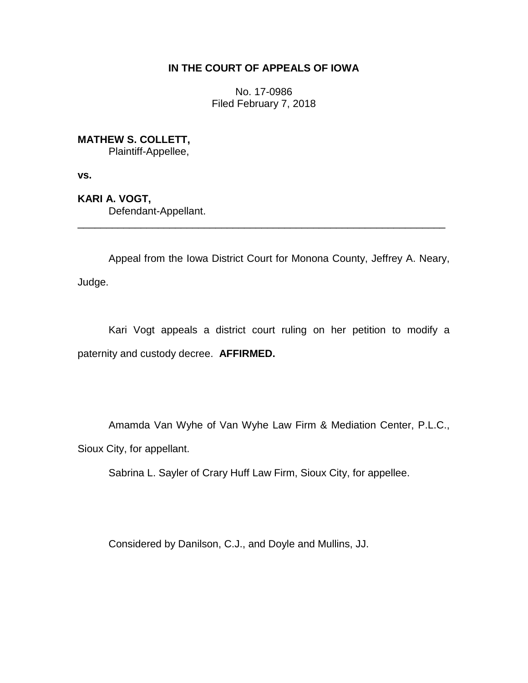## **IN THE COURT OF APPEALS OF IOWA**

No. 17-0986 Filed February 7, 2018

**MATHEW S. COLLETT,**

Plaintiff-Appellee,

**vs.**

**KARI A. VOGT,** Defendant-Appellant.

Appeal from the Iowa District Court for Monona County, Jeffrey A. Neary, Judge.

\_\_\_\_\_\_\_\_\_\_\_\_\_\_\_\_\_\_\_\_\_\_\_\_\_\_\_\_\_\_\_\_\_\_\_\_\_\_\_\_\_\_\_\_\_\_\_\_\_\_\_\_\_\_\_\_\_\_\_\_\_\_\_\_

Kari Vogt appeals a district court ruling on her petition to modify a paternity and custody decree. **AFFIRMED.**

Amamda Van Wyhe of Van Wyhe Law Firm & Mediation Center, P.L.C., Sioux City, for appellant.

Sabrina L. Sayler of Crary Huff Law Firm, Sioux City, for appellee.

Considered by Danilson, C.J., and Doyle and Mullins, JJ.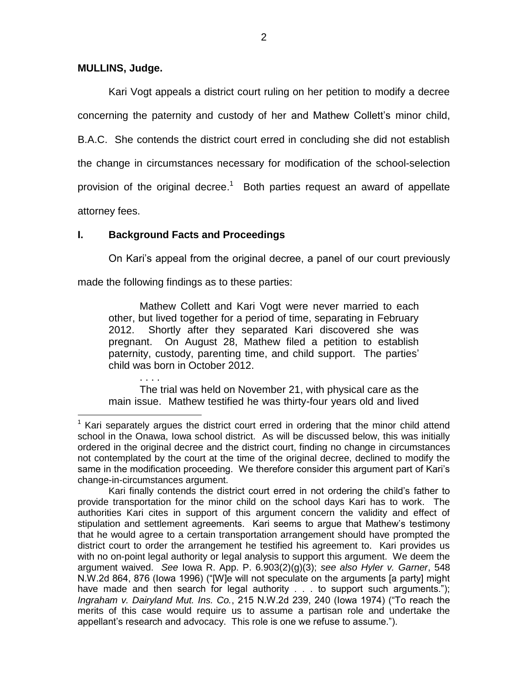### **MULLINS, Judge.**

 $\overline{a}$ 

Kari Vogt appeals a district court ruling on her petition to modify a decree concerning the paternity and custody of her and Mathew Collett's minor child, B.A.C. She contends the district court erred in concluding she did not establish the change in circumstances necessary for modification of the school-selection provision of the original decree.<sup>1</sup> Both parties request an award of appellate attorney fees.

# **I. Background Facts and Proceedings**

On Kari's appeal from the original decree, a panel of our court previously

made the following findings as to these parties:

Mathew Collett and Kari Vogt were never married to each other, but lived together for a period of time, separating in February 2012. Shortly after they separated Kari discovered she was pregnant. On August 28, Mathew filed a petition to establish paternity, custody, parenting time, and child support. The parties' child was born in October 2012.

. . . . The trial was held on November 21, with physical care as the main issue. Mathew testified he was thirty-four years old and lived

 $1$  Kari separately argues the district court erred in ordering that the minor child attend school in the Onawa, Iowa school district. As will be discussed below, this was initially ordered in the original decree and the district court, finding no change in circumstances not contemplated by the court at the time of the original decree, declined to modify the same in the modification proceeding. We therefore consider this argument part of Kari's change-in-circumstances argument.

Kari finally contends the district court erred in not ordering the child's father to provide transportation for the minor child on the school days Kari has to work. The authorities Kari cites in support of this argument concern the validity and effect of stipulation and settlement agreements. Kari seems to argue that Mathew's testimony that he would agree to a certain transportation arrangement should have prompted the district court to order the arrangement he testified his agreement to. Kari provides us with no on-point legal authority or legal analysis to support this argument. We deem the argument waived. *See* Iowa R. App. P. 6.903(2)(g)(3); *see also Hyler v. Garner*, 548 N.W.2d 864, 876 (Iowa 1996) ("[W]e will not speculate on the arguments [a party] might have made and then search for legal authority . . . to support such arguments."); *Ingraham v. Dairyland Mut. Ins. Co.*, 215 N.W.2d 239, 240 (Iowa 1974) ("To reach the merits of this case would require us to assume a partisan role and undertake the appellant's research and advocacy. This role is one we refuse to assume.").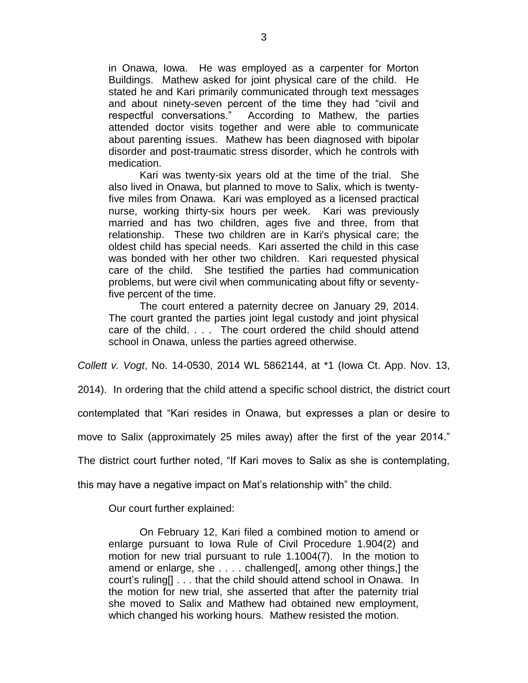in Onawa, Iowa. He was employed as a carpenter for Morton Buildings. Mathew asked for joint physical care of the child. He stated he and Kari primarily communicated through text messages and about ninety-seven percent of the time they had "civil and respectful conversations." According to Mathew, the parties attended doctor visits together and were able to communicate about parenting issues. Mathew has been diagnosed with bipolar disorder and post-traumatic stress disorder, which he controls with medication.

Kari was twenty-six years old at the time of the trial. She also lived in Onawa, but planned to move to Salix, which is twentyfive miles from Onawa. Kari was employed as a licensed practical nurse, working thirty-six hours per week. Kari was previously married and has two children, ages five and three, from that relationship. These two children are in Kari's physical care; the oldest child has special needs. Kari asserted the child in this case was bonded with her other two children. Kari requested physical care of the child. She testified the parties had communication problems, but were civil when communicating about fifty or seventyfive percent of the time.

The court entered a paternity decree on January 29, 2014. The court granted the parties joint legal custody and joint physical care of the child. . . . The court ordered the child should attend school in Onawa, unless the parties agreed otherwise.

*Collett v. Vogt*, No. 14-0530, 2014 WL 5862144, at \*1 (Iowa Ct. App. Nov. 13,

2014). In ordering that the child attend a specific school district, the district court

contemplated that "Kari resides in Onawa, but expresses a plan or desire to

move to Salix (approximately 25 miles away) after the first of the year 2014."

The district court further noted, "If Kari moves to Salix as she is contemplating,

this may have a negative impact on Mat's relationship with" the child.

Our court further explained:

On February 12, Kari filed a combined motion to amend or enlarge pursuant to Iowa Rule of Civil Procedure 1.904(2) and motion for new trial pursuant to rule 1.1004(7). In the motion to amend or enlarge, she . . . . challenged[, among other things,] the court's ruling[] . . . that the child should attend school in Onawa. In the motion for new trial, she asserted that after the paternity trial she moved to Salix and Mathew had obtained new employment, which changed his working hours. Mathew resisted the motion.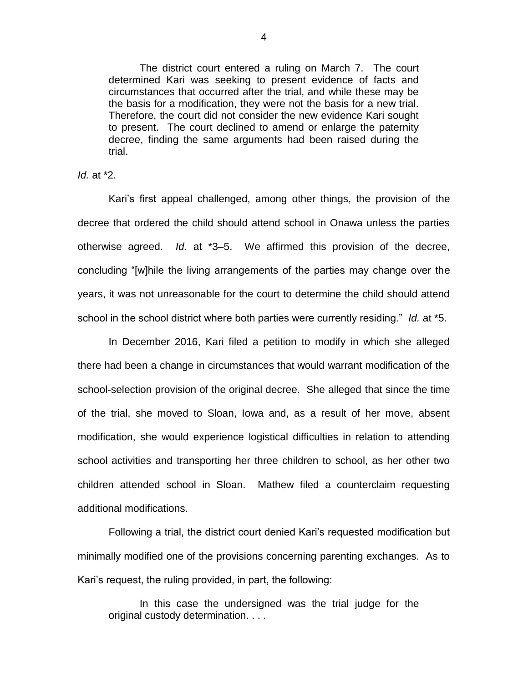The district court entered a ruling on March 7. The court determined Kari was seeking to present evidence of facts and circumstances that occurred after the trial, and while these may be the basis for a modification, they were not the basis for a new trial. Therefore, the court did not consider the new evidence Kari sought to present. The court declined to amend or enlarge the paternity decree, finding the same arguments had been raised during the trial.

*Id.* at \*2.

Kari's first appeal challenged, among other things, the provision of the decree that ordered the child should attend school in Onawa unless the parties otherwise agreed. *Id.* at \*3–5. We affirmed this provision of the decree, concluding "[w]hile the living arrangements of the parties may change over the years, it was not unreasonable for the court to determine the child should attend school in the school district where both parties were currently residing." *Id.* at \*5.

In December 2016, Kari filed a petition to modify in which she alleged there had been a change in circumstances that would warrant modification of the school-selection provision of the original decree. She alleged that since the time of the trial, she moved to Sloan, Iowa and, as a result of her move, absent modification, she would experience logistical difficulties in relation to attending school activities and transporting her three children to school, as her other two children attended school in Sloan. Mathew filed a counterclaim requesting additional modifications.

Following a trial, the district court denied Kari's requested modification but minimally modified one of the provisions concerning parenting exchanges. As to Kari's request, the ruling provided, in part, the following:

In this case the undersigned was the trial judge for the original custody determination. . . .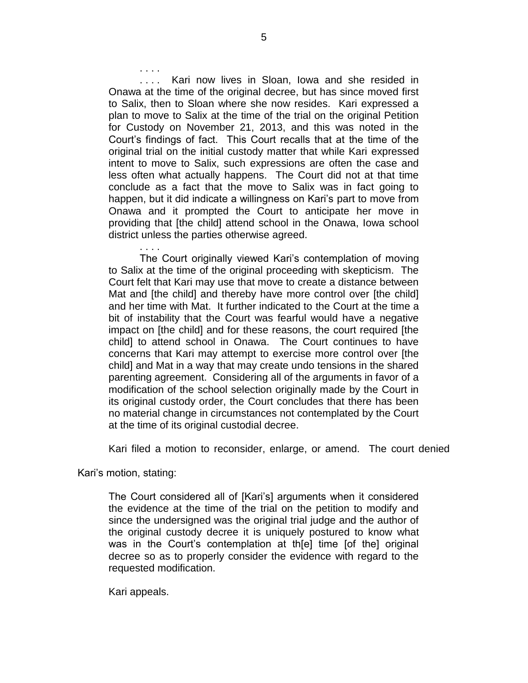. . . . Kari now lives in Sloan, Iowa and she resided in Onawa at the time of the original decree, but has since moved first to Salix, then to Sloan where she now resides. Kari expressed a plan to move to Salix at the time of the trial on the original Petition for Custody on November 21, 2013, and this was noted in the Court's findings of fact. This Court recalls that at the time of the original trial on the initial custody matter that while Kari expressed intent to move to Salix, such expressions are often the case and less often what actually happens. The Court did not at that time conclude as a fact that the move to Salix was in fact going to happen, but it did indicate a willingness on Kari's part to move from Onawa and it prompted the Court to anticipate her move in providing that [the child] attend school in the Onawa, Iowa school district unless the parties otherwise agreed.

The Court originally viewed Kari's contemplation of moving to Salix at the time of the original proceeding with skepticism. The Court felt that Kari may use that move to create a distance between Mat and [the child] and thereby have more control over [the child] and her time with Mat. It further indicated to the Court at the time a bit of instability that the Court was fearful would have a negative impact on [the child] and for these reasons, the court required [the child] to attend school in Onawa. The Court continues to have concerns that Kari may attempt to exercise more control over [the child] and Mat in a way that may create undo tensions in the shared parenting agreement. Considering all of the arguments in favor of a modification of the school selection originally made by the Court in its original custody order, the Court concludes that there has been no material change in circumstances not contemplated by the Court at the time of its original custodial decree.

Kari filed a motion to reconsider, enlarge, or amend. The court denied

Kari's motion, stating:

. . . .

. . . .

The Court considered all of [Kari's] arguments when it considered the evidence at the time of the trial on the petition to modify and since the undersigned was the original trial judge and the author of the original custody decree it is uniquely postured to know what was in the Court's contemplation at th[e] time [of the] original decree so as to properly consider the evidence with regard to the requested modification.

Kari appeals.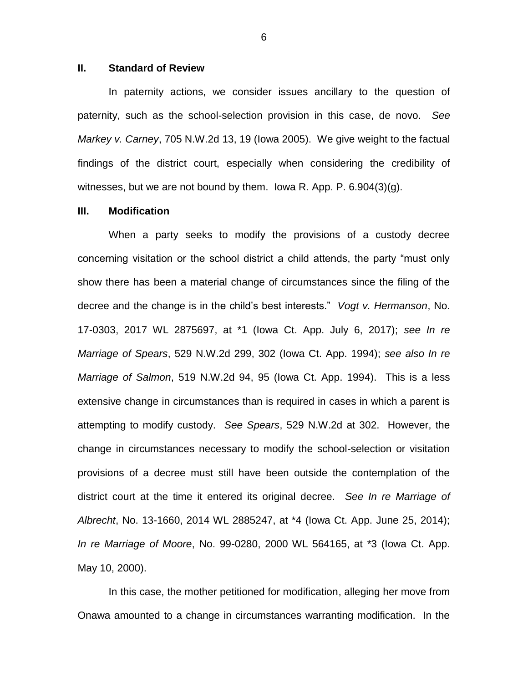#### **II. Standard of Review**

In paternity actions, we consider issues ancillary to the question of paternity, such as the school-selection provision in this case, de novo. *See Markey v. Carney*, 705 N.W.2d 13, 19 (Iowa 2005). We give weight to the factual findings of the district court, especially when considering the credibility of witnesses, but we are not bound by them. Iowa R. App. P. 6.904(3)(g).

#### **III. Modification**

When a party seeks to modify the provisions of a custody decree concerning visitation or the school district a child attends, the party "must only show there has been a material change of circumstances since the filing of the decree and the change is in the child's best interests." *Vogt v. Hermanson*, No. 17-0303, 2017 WL 2875697, at \*1 (Iowa Ct. App. July 6, 2017); *see In re Marriage of Spears*, 529 N.W.2d 299, 302 (Iowa Ct. App. 1994); *see also In re Marriage of Salmon*, 519 N.W.2d 94, 95 (Iowa Ct. App. 1994). This is a less extensive change in circumstances than is required in cases in which a parent is attempting to modify custody. *See Spears*, 529 N.W.2d at 302. However, the change in circumstances necessary to modify the school-selection or visitation provisions of a decree must still have been outside the contemplation of the district court at the time it entered its original decree. *See In re Marriage of Albrecht*, No. 13-1660, 2014 WL 2885247, at \*4 (Iowa Ct. App. June 25, 2014); *In re Marriage of Moore*, No. 99-0280, 2000 WL 564165, at \*3 (Iowa Ct. App. May 10, 2000).

In this case, the mother petitioned for modification, alleging her move from Onawa amounted to a change in circumstances warranting modification. In the

6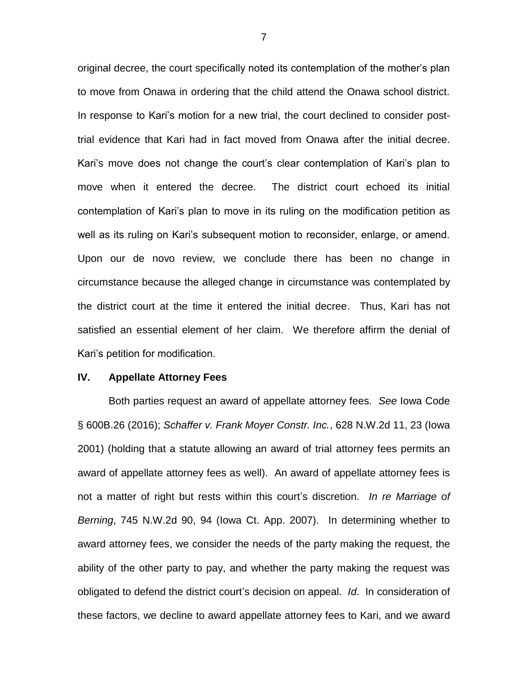original decree, the court specifically noted its contemplation of the mother's plan to move from Onawa in ordering that the child attend the Onawa school district. In response to Kari's motion for a new trial, the court declined to consider posttrial evidence that Kari had in fact moved from Onawa after the initial decree. Kari's move does not change the court's clear contemplation of Kari's plan to move when it entered the decree. The district court echoed its initial contemplation of Kari's plan to move in its ruling on the modification petition as well as its ruling on Kari's subsequent motion to reconsider, enlarge, or amend. Upon our de novo review, we conclude there has been no change in circumstance because the alleged change in circumstance was contemplated by the district court at the time it entered the initial decree. Thus, Kari has not satisfied an essential element of her claim. We therefore affirm the denial of Kari's petition for modification.

### **IV. Appellate Attorney Fees**

Both parties request an award of appellate attorney fees. *See* Iowa Code § 600B.26 (2016); *Schaffer v. Frank Moyer Constr. Inc.*, 628 N.W.2d 11, 23 (Iowa 2001) (holding that a statute allowing an award of trial attorney fees permits an award of appellate attorney fees as well). An award of appellate attorney fees is not a matter of right but rests within this court's discretion. *In re Marriage of Berning*, 745 N.W.2d 90, 94 (Iowa Ct. App. 2007). In determining whether to award attorney fees, we consider the needs of the party making the request, the ability of the other party to pay, and whether the party making the request was obligated to defend the district court's decision on appeal. *Id*. In consideration of these factors, we decline to award appellate attorney fees to Kari, and we award

7